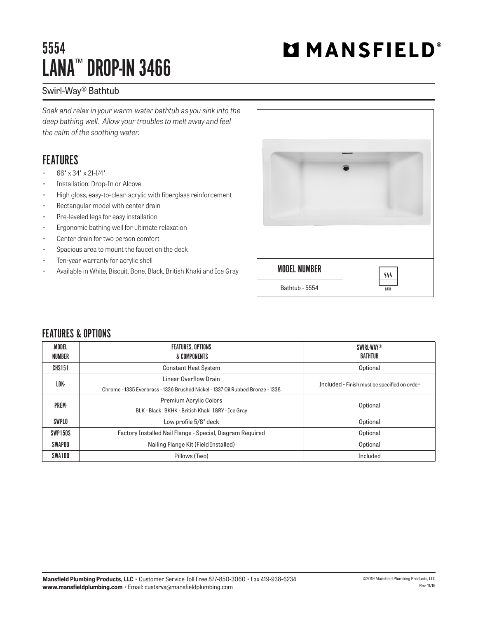## 5554 LANA™ DROP-IN 3466

# **MMANSFIELD®**

### Swirl-Way® Bathtub

*Soak and relax in your warm-water bathtub as you sink into the deep bathing well. Allow your troubles to melt away and feel the calm of the soothing water.*

### FEATURES

- 66" x 34" x 21-1/4"
- Installation: Drop-In or Alcove
- High gloss, easy-to-clean acrylic with fiberglass reinforcement
- Rectangular model with center drain
- Pre-leveled legs for easy installation
- Ergonomic bathing well for ultimate relaxation
- Center drain for two person comfort
- Spacious area to mount the faucet on the deck
- Ten-year warranty for acrylic shell
- Available in White, Biscuit, Bone, Black, British Khaki and Ice Gray



#### FFATURES & OPTIONS

| MODEL<br>NUMBER | <b>FEATURES, OPTIONS</b><br>& COMPONENTS                                                               | <b>SWIRL-WAY®</b><br>BATHTUB                 |  |
|-----------------|--------------------------------------------------------------------------------------------------------|----------------------------------------------|--|
| CHS151          | <b>Constant Heat System</b>                                                                            | Optional                                     |  |
| LDK-            | Linear Overflow Drain<br>Chrome - 1335 Everbrass - 1336 Brushed Nickel - 1337 Oil Rubbed Bronze - 1338 | Included - Finish must be specified on order |  |
| PREM-           | <b>Premium Acrylic Colors</b><br>BLK - Black BKHK - British Khaki IGRY - Ice Gray                      | Optional                                     |  |
| SWPLO           | Low profile 5/8' deck                                                                                  | Optional                                     |  |
| SWP150S         | Factory Installed Nail Flange - Special, Diagram Required                                              | Optional                                     |  |
| SWAPOO          | Nailing Flange Kit (Field Installed)                                                                   | Optional                                     |  |
| SWA100          | Pillows (Two)                                                                                          | Included                                     |  |